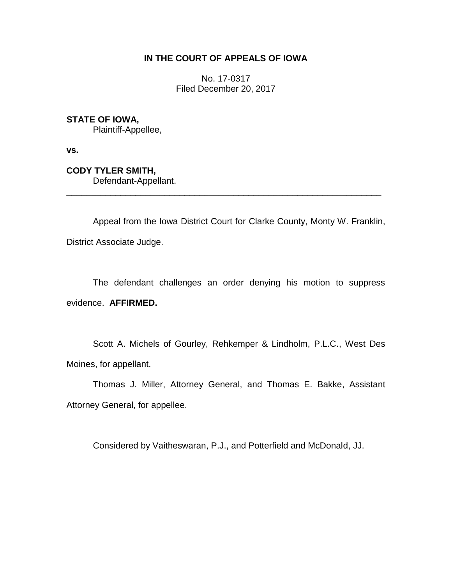## **IN THE COURT OF APPEALS OF IOWA**

No. 17-0317 Filed December 20, 2017

**STATE OF IOWA,**

Plaintiff-Appellee,

**vs.**

**CODY TYLER SMITH,** Defendant-Appellant.

Appeal from the Iowa District Court for Clarke County, Monty W. Franklin, District Associate Judge.

\_\_\_\_\_\_\_\_\_\_\_\_\_\_\_\_\_\_\_\_\_\_\_\_\_\_\_\_\_\_\_\_\_\_\_\_\_\_\_\_\_\_\_\_\_\_\_\_\_\_\_\_\_\_\_\_\_\_\_\_\_\_\_\_

The defendant challenges an order denying his motion to suppress evidence. **AFFIRMED.**

Scott A. Michels of Gourley, Rehkemper & Lindholm, P.L.C., West Des Moines, for appellant.

Thomas J. Miller, Attorney General, and Thomas E. Bakke, Assistant Attorney General, for appellee.

Considered by Vaitheswaran, P.J., and Potterfield and McDonald, JJ.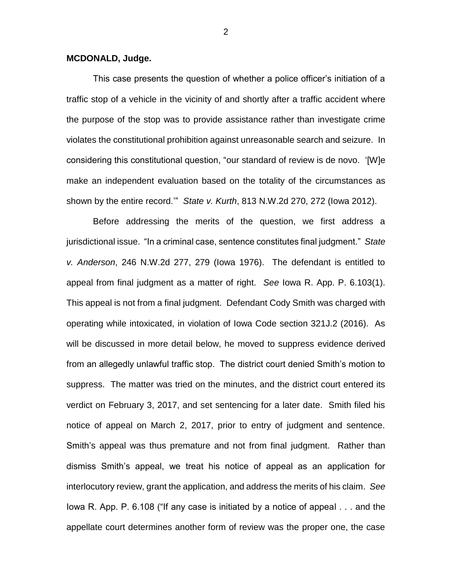## **MCDONALD, Judge.**

This case presents the question of whether a police officer's initiation of a traffic stop of a vehicle in the vicinity of and shortly after a traffic accident where the purpose of the stop was to provide assistance rather than investigate crime violates the constitutional prohibition against unreasonable search and seizure. In considering this constitutional question, "our standard of review is de novo. '[W]e make an independent evaluation based on the totality of the circumstances as shown by the entire record.'" *State v. Kurth*, 813 N.W.2d 270, 272 (Iowa 2012).

Before addressing the merits of the question, we first address a jurisdictional issue. "In a criminal case, sentence constitutes final judgment." *State v. Anderson*, 246 N.W.2d 277, 279 (Iowa 1976). The defendant is entitled to appeal from final judgment as a matter of right. *See* Iowa R. App. P. 6.103(1). This appeal is not from a final judgment. Defendant Cody Smith was charged with operating while intoxicated, in violation of Iowa Code section 321J.2 (2016). As will be discussed in more detail below, he moved to suppress evidence derived from an allegedly unlawful traffic stop. The district court denied Smith's motion to suppress. The matter was tried on the minutes, and the district court entered its verdict on February 3, 2017, and set sentencing for a later date. Smith filed his notice of appeal on March 2, 2017, prior to entry of judgment and sentence. Smith's appeal was thus premature and not from final judgment. Rather than dismiss Smith's appeal, we treat his notice of appeal as an application for interlocutory review, grant the application, and address the merits of his claim. *See*  Iowa R. App. P. 6.108 ("If any case is initiated by a notice of appeal . . . and the appellate court determines another form of review was the proper one, the case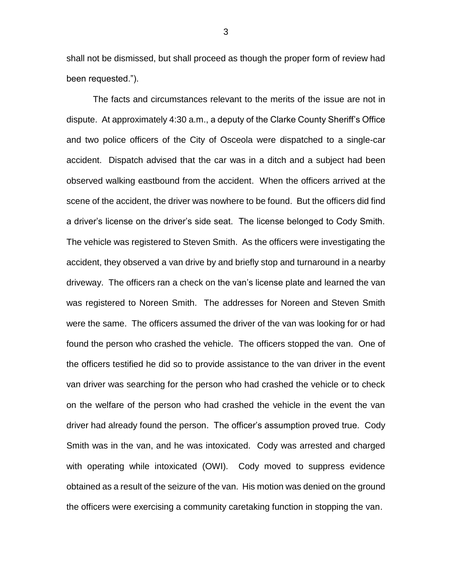shall not be dismissed, but shall proceed as though the proper form of review had been requested.").

The facts and circumstances relevant to the merits of the issue are not in dispute. At approximately 4:30 a.m., a deputy of the Clarke County Sheriff's Office and two police officers of the City of Osceola were dispatched to a single-car accident. Dispatch advised that the car was in a ditch and a subject had been observed walking eastbound from the accident. When the officers arrived at the scene of the accident, the driver was nowhere to be found. But the officers did find a driver's license on the driver's side seat. The license belonged to Cody Smith. The vehicle was registered to Steven Smith. As the officers were investigating the accident, they observed a van drive by and briefly stop and turnaround in a nearby driveway. The officers ran a check on the van's license plate and learned the van was registered to Noreen Smith. The addresses for Noreen and Steven Smith were the same. The officers assumed the driver of the van was looking for or had found the person who crashed the vehicle. The officers stopped the van. One of the officers testified he did so to provide assistance to the van driver in the event van driver was searching for the person who had crashed the vehicle or to check on the welfare of the person who had crashed the vehicle in the event the van driver had already found the person. The officer's assumption proved true. Cody Smith was in the van, and he was intoxicated. Cody was arrested and charged with operating while intoxicated (OWI). Cody moved to suppress evidence obtained as a result of the seizure of the van. His motion was denied on the ground the officers were exercising a community caretaking function in stopping the van.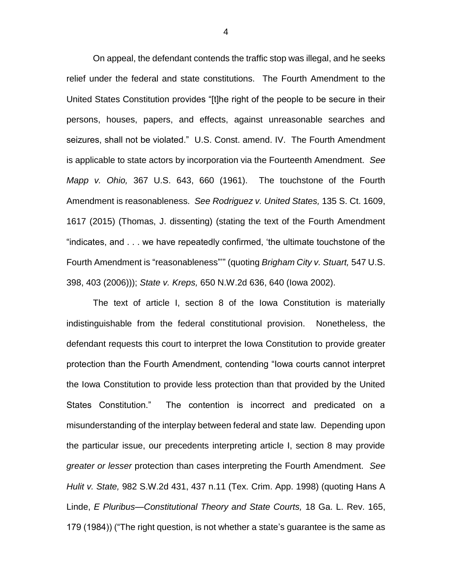On appeal, the defendant contends the traffic stop was illegal, and he seeks relief under the federal and state constitutions. The Fourth Amendment to the United States Constitution provides "[t]he right of the people to be secure in their persons, houses, papers, and effects, against unreasonable searches and seizures, shall not be violated." U.S. Const. amend. IV. The Fourth Amendment is applicable to state actors by incorporation via the Fourteenth Amendment. *See Mapp v. Ohio,* 367 U.S. 643, 660 (1961). The touchstone of the Fourth Amendment is reasonableness. *See Rodriguez v. United States,* 135 S. Ct. 1609, 1617 (2015) (Thomas, J. dissenting) (stating the text of the Fourth Amendment "indicates, and . . . we have repeatedly confirmed, 'the ultimate touchstone of the Fourth Amendment is "reasonableness"'" (quoting *Brigham City v. Stuart,* 547 U.S. 398, 403 (2006))); *State v. Kreps,* 650 N.W.2d 636, 640 (Iowa 2002).

The text of article I, section 8 of the Iowa Constitution is materially indistinguishable from the federal constitutional provision. Nonetheless, the defendant requests this court to interpret the Iowa Constitution to provide greater protection than the Fourth Amendment, contending "Iowa courts cannot interpret the Iowa Constitution to provide less protection than that provided by the United States Constitution." The contention is incorrect and predicated on a misunderstanding of the interplay between federal and state law. Depending upon the particular issue, our precedents interpreting article I, section 8 may provide *greater or lesser* protection than cases interpreting the Fourth Amendment. *See Hulit v. State,* 982 S.W.2d 431, 437 n.11 (Tex. Crim. App. 1998) (quoting Hans A Linde, *E Pluribus—Constitutional Theory and State Courts,* 18 Ga. L. Rev. 165, 179 (1984)) ("The right question, is not whether a state's guarantee is the same as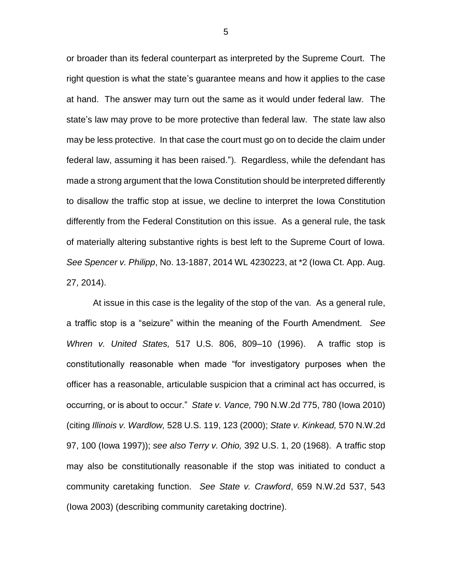or broader than its federal counterpart as interpreted by the Supreme Court. The right question is what the state's guarantee means and how it applies to the case at hand. The answer may turn out the same as it would under federal law. The state's law may prove to be more protective than federal law. The state law also may be less protective. In that case the court must go on to decide the claim under federal law, assuming it has been raised."). Regardless, while the defendant has made a strong argument that the Iowa Constitution should be interpreted differently to disallow the traffic stop at issue, we decline to interpret the Iowa Constitution differently from the Federal Constitution on this issue. As a general rule, the task of materially altering substantive rights is best left to the Supreme Court of Iowa. *See Spencer v. Philipp*, No. 13-1887, 2014 WL 4230223, at \*2 (Iowa Ct. App. Aug. 27, 2014).

At issue in this case is the legality of the stop of the van. As a general rule, a traffic stop is a "seizure" within the meaning of the Fourth Amendment. *See Whren v. United States,* 517 U.S. 806, 809–10 (1996). A traffic stop is constitutionally reasonable when made "for investigatory purposes when the officer has a reasonable, articulable suspicion that a criminal act has occurred, is occurring, or is about to occur." *State v. Vance,* 790 N.W.2d 775, 780 (Iowa 2010) (citing *Illinois v. Wardlow,* 528 U.S. 119, 123 (2000); *State v. Kinkead,* 570 N.W.2d 97, 100 (Iowa 1997)); *see also Terry v. Ohio,* 392 U.S. 1, 20 (1968). A traffic stop may also be constitutionally reasonable if the stop was initiated to conduct a community caretaking function. *See State v. Crawford*, 659 N.W.2d 537, 543 (Iowa 2003) (describing community caretaking doctrine).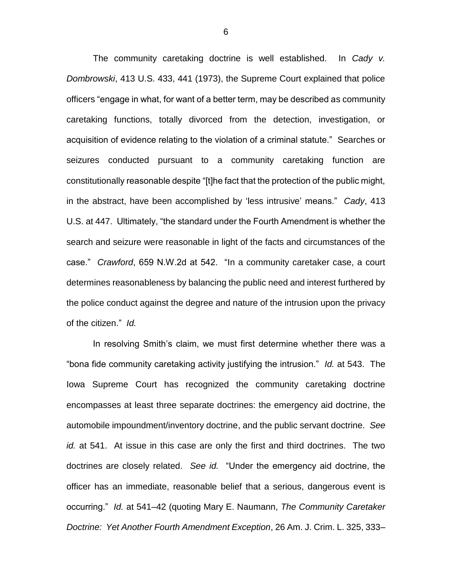The community caretaking doctrine is well established. In *Cady v. Dombrowski*, 413 U.S. 433, 441 (1973), the Supreme Court explained that police officers "engage in what, for want of a better term, may be described as community caretaking functions, totally divorced from the detection, investigation, or acquisition of evidence relating to the violation of a criminal statute." Searches or seizures conducted pursuant to a community caretaking function are constitutionally reasonable despite "[t]he fact that the protection of the public might, in the abstract, have been accomplished by 'less intrusive' means." *Cady*, 413 U.S. at 447. Ultimately, "the standard under the Fourth Amendment is whether the search and seizure were reasonable in light of the facts and circumstances of the case." *Crawford*, 659 N.W.2d at 542. "In a community caretaker case, a court determines reasonableness by balancing the public need and interest furthered by the police conduct against the degree and nature of the intrusion upon the privacy of the citizen." *Id.*

In resolving Smith's claim, we must first determine whether there was a "bona fide community caretaking activity justifying the intrusion." *Id.* at 543. The Iowa Supreme Court has recognized the community caretaking doctrine encompasses at least three separate doctrines: the emergency aid doctrine, the automobile impoundment/inventory doctrine, and the public servant doctrine. *See id.* at 541. At issue in this case are only the first and third doctrines. The two doctrines are closely related. *See id.* "Under the emergency aid doctrine, the officer has an immediate, reasonable belief that a serious, dangerous event is occurring." *Id.* at 541–42 (quoting Mary E. Naumann, *The Community Caretaker Doctrine: Yet Another Fourth Amendment Exception*, 26 Am. J. Crim. L. 325, 333–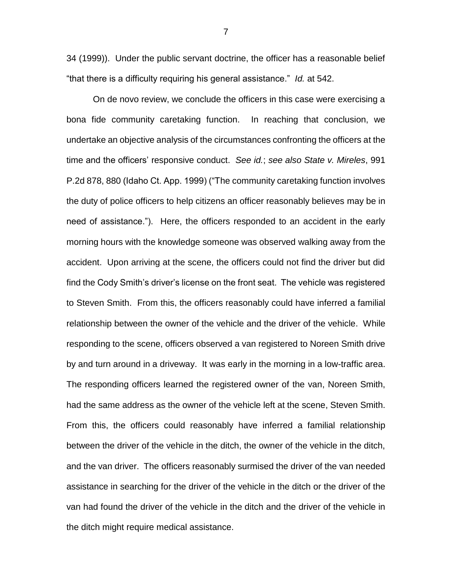34 (1999)). Under the public servant doctrine, the officer has a reasonable belief "that there is a difficulty requiring his general assistance." *Id.* at 542.

On de novo review, we conclude the officers in this case were exercising a bona fide community caretaking function. In reaching that conclusion, we undertake an objective analysis of the circumstances confronting the officers at the time and the officers' responsive conduct. *See id.*; *see also State v. Mireles*, 991 P.2d 878, 880 (Idaho Ct. App. 1999) ("The community caretaking function involves the duty of police officers to help citizens an officer reasonably believes may be in need of assistance."). Here, the officers responded to an accident in the early morning hours with the knowledge someone was observed walking away from the accident. Upon arriving at the scene, the officers could not find the driver but did find the Cody Smith's driver's license on the front seat. The vehicle was registered to Steven Smith. From this, the officers reasonably could have inferred a familial relationship between the owner of the vehicle and the driver of the vehicle. While responding to the scene, officers observed a van registered to Noreen Smith drive by and turn around in a driveway. It was early in the morning in a low-traffic area. The responding officers learned the registered owner of the van, Noreen Smith, had the same address as the owner of the vehicle left at the scene, Steven Smith. From this, the officers could reasonably have inferred a familial relationship between the driver of the vehicle in the ditch, the owner of the vehicle in the ditch, and the van driver. The officers reasonably surmised the driver of the van needed assistance in searching for the driver of the vehicle in the ditch or the driver of the van had found the driver of the vehicle in the ditch and the driver of the vehicle in the ditch might require medical assistance.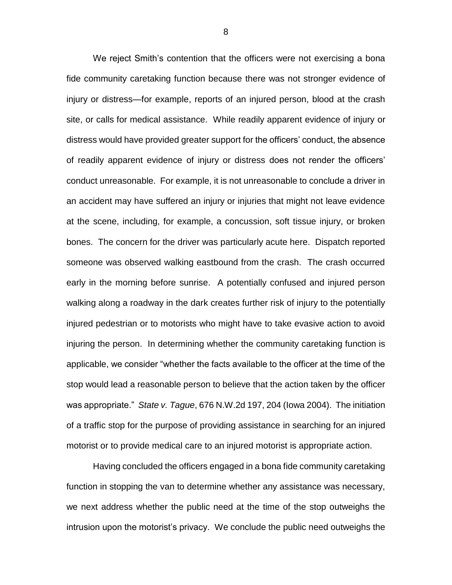We reject Smith's contention that the officers were not exercising a bona fide community caretaking function because there was not stronger evidence of injury or distress—for example, reports of an injured person, blood at the crash site, or calls for medical assistance. While readily apparent evidence of injury or distress would have provided greater support for the officers' conduct, the absence of readily apparent evidence of injury or distress does not render the officers' conduct unreasonable. For example, it is not unreasonable to conclude a driver in an accident may have suffered an injury or injuries that might not leave evidence at the scene, including, for example, a concussion, soft tissue injury, or broken bones. The concern for the driver was particularly acute here. Dispatch reported someone was observed walking eastbound from the crash. The crash occurred early in the morning before sunrise. A potentially confused and injured person walking along a roadway in the dark creates further risk of injury to the potentially injured pedestrian or to motorists who might have to take evasive action to avoid injuring the person. In determining whether the community caretaking function is applicable, we consider "whether the facts available to the officer at the time of the stop would lead a reasonable person to believe that the action taken by the officer was appropriate." *State v. Tague*, 676 N.W.2d 197, 204 (Iowa 2004). The initiation of a traffic stop for the purpose of providing assistance in searching for an injured motorist or to provide medical care to an injured motorist is appropriate action.

Having concluded the officers engaged in a bona fide community caretaking function in stopping the van to determine whether any assistance was necessary, we next address whether the public need at the time of the stop outweighs the intrusion upon the motorist's privacy. We conclude the public need outweighs the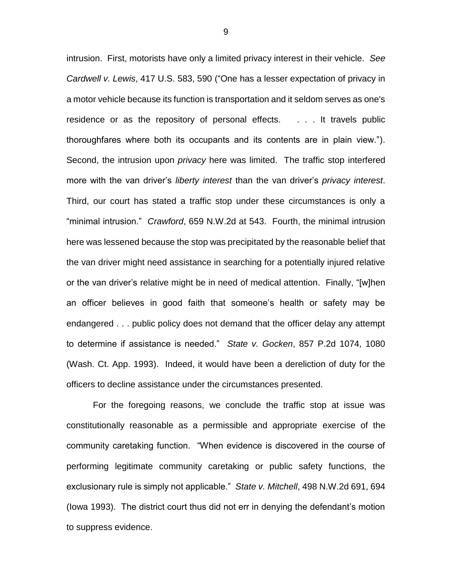intrusion. First, motorists have only a limited privacy interest in their vehicle. *See Cardwell v. Lewis*, 417 U.S. 583, 590 ("One has a lesser expectation of privacy in a motor vehicle because its function is transportation and it seldom serves as one's residence or as the repository of personal effects. . . . It travels public thoroughfares where both its occupants and its contents are in plain view."). Second, the intrusion upon *privacy* here was limited. The traffic stop interfered more with the van driver's *liberty interest* than the van driver's *privacy interest*. Third, our court has stated a traffic stop under these circumstances is only a "minimal intrusion." *Crawford*, 659 N.W.2d at 543. Fourth, the minimal intrusion here was lessened because the stop was precipitated by the reasonable belief that the van driver might need assistance in searching for a potentially injured relative or the van driver's relative might be in need of medical attention. Finally, "[w]hen an officer believes in good faith that someone's health or safety may be endangered . . . public policy does not demand that the officer delay any attempt to determine if assistance is needed." *State v. Gocken*, 857 P.2d 1074, 1080 (Wash. Ct. App. 1993). Indeed, it would have been a dereliction of duty for the officers to decline assistance under the circumstances presented.

For the foregoing reasons, we conclude the traffic stop at issue was constitutionally reasonable as a permissible and appropriate exercise of the community caretaking function. "When evidence is discovered in the course of performing legitimate community caretaking or public safety functions, the exclusionary rule is simply not applicable." *State v. Mitchell*, 498 N.W.2d 691, 694 (Iowa 1993). The district court thus did not err in denying the defendant's motion to suppress evidence.